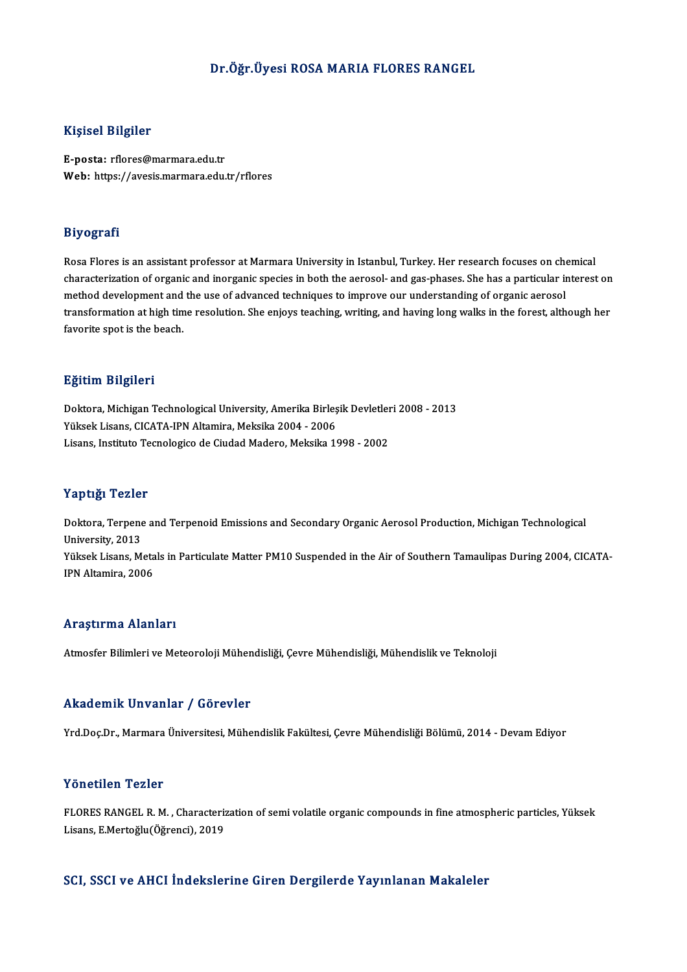### Dr.Öğr.Üyesi ROSAMARIA FLORES RANGEL

### Kişisel Bilgiler

E-posta: rflores@marmara.edu.tr Web: https://avesis.marmara.edu.tr/rflores

### Biyografi

Rosa Flores is an assistant professor at Marmara University in Istanbul, Turkey. Her research focuses on chemical characterization of organic and inorganic species in both the aerosol- and gas-phases. She has a particular interest on Rosa Flores is an assistant professor at Marmara University in Istanbul, Turkey. Her research focuses on chor<br>characterization of organic and inorganic species in both the aerosol- and gas-phases. She has a particular in<br>m transformation at high time resolution. She enjoys teaching, writing, and having long walks in the forest, although her<br>favorite spot is the beach. method development and<br>transformation at high tin<br>favorite spot is the beach.

### Eğitim Bilgileri

Eğitim Bilgileri<br>Doktora, Michigan Technological University, Amerika Birleşik Devletleri 2008 - 2013<br>Yükask Lisana CICATA IPN Altamira Meksika 2004 - 2006 1911.<br>Doktora, Michigan Technological University, Amerika Birleş<br>Yüksek Lisans, CICATA-IPN Altamira, Meksika 2004 - 2006<br>Lisans, Institute Tecnalogica de Ciudad Medane, Meksika 18 Doktora, Michigan Technological University, Amerika Birleşik Devletler<br>Yüksek Lisans, CICATA-IPN Altamira, Meksika 2004 - 2006<br>Lisans, Instituto Tecnologico de Ciudad Madero, Meksika 1998 - 2002 Lisans, Instituto Tecnologico de Ciudad Madero, Meksika 1998 - 2002<br>Yaptığı Tezler

Yaptığı Tezler<br>Doktora, Terpene and Terpenoid Emissions and Secondary Organic Aerosol Production, Michigan Technological<br>University, 2012 1 aper<sub>8</sub>1 1 0210.<br>Doktora, Terpene<br>University, 2013<br><sup>Välsok Lisans, M</sup> Doktora, Terpene and Terpenoid Emissions and Secondary Organic Aerosol Production, Michigan Technological<br>University, 2013<br>Yüksek Lisans, Metals in Particulate Matter PM10 Suspended in the Air of Southern Tamaulipas During University, 2013<br>Yüksek Lisans, Metals in Particulate Matter PM10 Suspended in the Air of Southern Tamaulipas During 2004, CICATA-<br>IPN Altamira, 2006

### Araştırma Alanları

Atmosfer Bilimleri ve Meteoroloji Mühendisliği, Çevre Mühendisliği, Mühendislik ve Teknoloji

### Akademik Unvanlar / Görevler

Yrd.Doç.Dr., Marmara Üniversitesi, Mühendislik Fakültesi, Çevre Mühendisliği Bölümü, 2014 - Devam Ediyor

### Yönetilen Tezler

Yönetilen Tezler<br>FLORES RANGEL R. M. , Characterization of semi volatile organic compounds in fine atmospheric particles, Yüksek<br>Lisans, E Martečky(Öğrensi), 2019 1 SHSENSH 1 SHSI<br>FLORES RANGEL R. M. , Characteriz<br>Lisans, E.Mertoğlu(Öğrenci), 2019 Lisans, E.Mertoğlu(Öğrenci), 2019<br>SCI, SSCI ve AHCI İndekslerine Giren Dergilerde Yayınlanan Makaleler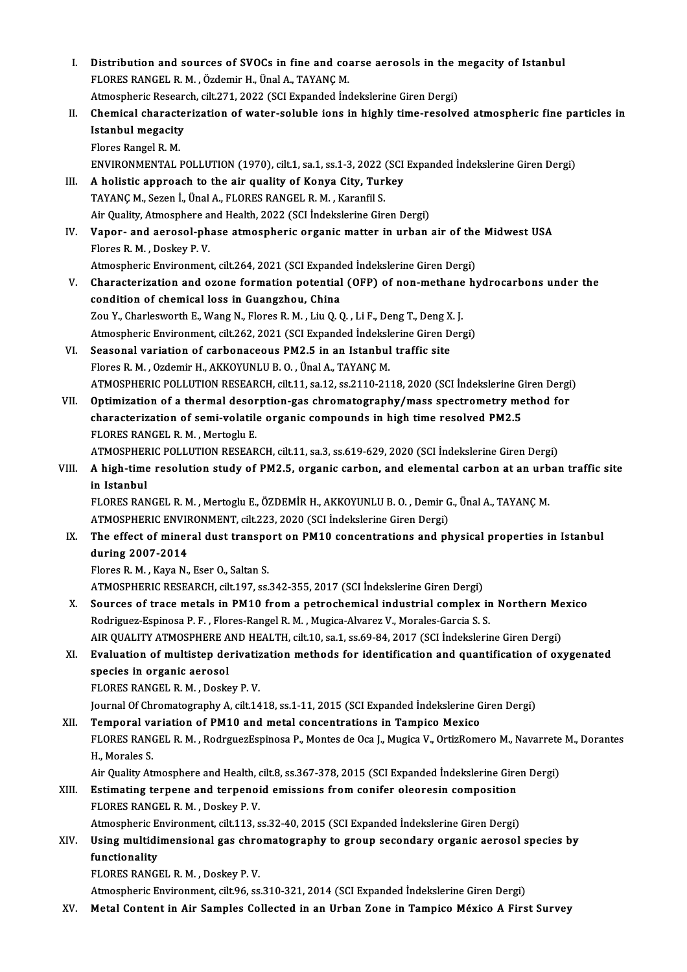| Ι.    | Distribution and sources of SVOCs in fine and coarse aerosols in the megacity of Istanbul                          |
|-------|--------------------------------------------------------------------------------------------------------------------|
|       | FLORES RANGEL R. M., Özdemir H., Ünal A., TAYANÇ M.                                                                |
|       | Atmospheric Research, cilt.271, 2022 (SCI Expanded İndekslerine Giren Dergi)                                       |
| П.    | Chemical characterization of water-soluble ions in highly time-resolved atmospheric fine particles in              |
|       | <b>Istanbul megacity</b>                                                                                           |
|       | Flores Rangel R. M.                                                                                                |
|       | ENVIRONMENTAL POLLUTION (1970), cilt.1, sa.1, ss.1-3, 2022 (SCI Expanded İndekslerine Giren Dergi)                 |
| III.  | A holistic approach to the air quality of Konya City, Turkey                                                       |
|       | TAYANÇ M., Sezen İ., Ünal A., FLORES RANGEL R. M., Karanfil S.                                                     |
|       | Air Quality, Atmosphere and Health, 2022 (SCI Indekslerine Giren Dergi)                                            |
| IV.   | Vapor- and aerosol-phase atmospheric organic matter in urban air of the Midwest USA                                |
|       | Flores R. M., Doskey P. V.                                                                                         |
|       | Atmospheric Environment, cilt.264, 2021 (SCI Expanded İndekslerine Giren Dergi)                                    |
| V.    | Characterization and ozone formation potential (OFP) of non-methane hydrocarbons under the                         |
|       | condition of chemical loss in Guangzhou, China                                                                     |
|       | Zou Y., Charlesworth E., Wang N., Flores R. M., Liu Q. Q., Li F., Deng T., Deng X. J.                              |
|       | Atmospheric Environment, cilt.262, 2021 (SCI Expanded İndekslerine Giren Dergi)                                    |
| VI.   | Seasonal variation of carbonaceous PM2.5 in an Istanbul traffic site                                               |
|       | Flores R. M., Ozdemir H., AKKOYUNLU B. O., Ünal A., TAYANÇ M.                                                      |
|       | ATMOSPHERIC POLLUTION RESEARCH, cilt.11, sa.12, ss.2110-2118, 2020 (SCI İndekslerine Giren Dergi)                  |
| VII.  | Optimization of a thermal desorption-gas chromatography/mass spectrometry method for                               |
|       | characterization of semi-volatile organic compounds in high time resolved PM2.5                                    |
|       | FLORES RANGEL R. M., Mertoglu E.                                                                                   |
|       | ATMOSPHERIC POLLUTION RESEARCH, cilt.11, sa.3, ss.619-629, 2020 (SCI İndekslerine Giren Dergi)                     |
| VIII. | A high-time resolution study of PM2.5, organic carbon, and elemental carbon at an urban traffic site               |
|       | in Istanbul                                                                                                        |
|       | FLORES RANGEL R. M., Mertoglu E., ÖZDEMİR H., AKKOYUNLU B. O., Demir G., Ünal A., TAYANÇ M.                        |
|       | ATMOSPHERIC ENVIRONMENT, cilt.223, 2020 (SCI İndekslerine Giren Dergi)                                             |
| IX.   | The effect of mineral dust transport on PM10 concentrations and physical properties in Istanbul                    |
|       | during 2007-2014                                                                                                   |
|       | Flores R. M., Kaya N., Eser O., Saltan S.                                                                          |
|       | ATMOSPHERIC RESEARCH, cilt.197, ss.342-355, 2017 (SCI İndekslerine Giren Dergi)                                    |
| Х.    | Sources of trace metals in PM10 from a petrochemical industrial complex in Northern Mexico                         |
|       | Rodriguez-Espinosa P. F., Flores-Rangel R. M., Mugica-Alvarez V., Morales-Garcia S. S.                             |
|       | AIR QUALITY ATMOSPHERE AND HEALTH, cilt.10, sa.1, ss.69-84, 2017 (SCI İndekslerine Giren Dergi)                    |
| XI.   | Evaluation of multistep derivatization methods for identification and quantification of oxygenated                 |
|       | species in organic aerosol                                                                                         |
|       | FLORES RANGEL R. M., Doskey P. V.                                                                                  |
|       | Journal Of Chromatography A, cilt.1418, ss.1-11, 2015 (SCI Expanded İndekslerine Giren Dergi)                      |
| XII.  | Temporal variation of PM10 and metal concentrations in Tampico Mexico                                              |
|       | FLORES RANGEL R. M., RodrguezEspinosa P., Montes de Oca J., Mugica V., OrtizRomero M., Navarrete M., Dorantes      |
|       | H., Morales S.                                                                                                     |
|       | Air Quality Atmosphere and Health, cilt.8, ss.367-378, 2015 (SCI Expanded Indekslerine Giren Dergi)                |
| XIII. | Estimating terpene and terpenoid emissions from conifer oleoresin composition<br>FLORES RANGEL R. M., Doskey P. V. |
|       | Atmospheric Environment, cilt.113, ss.32-40, 2015 (SCI Expanded Indekslerine Giren Dergi)                          |
| XIV.  | Using multidimensional gas chromatography to group secondary organic aerosol species by                            |
|       | functionality                                                                                                      |
|       | FLORES RANGEL R. M., Doskey P. V.                                                                                  |
|       |                                                                                                                    |
|       | Atmospheric Environment, cilt.96, ss.310-321, 2014 (SCI Expanded Indekslerine Giren Dergi)                         |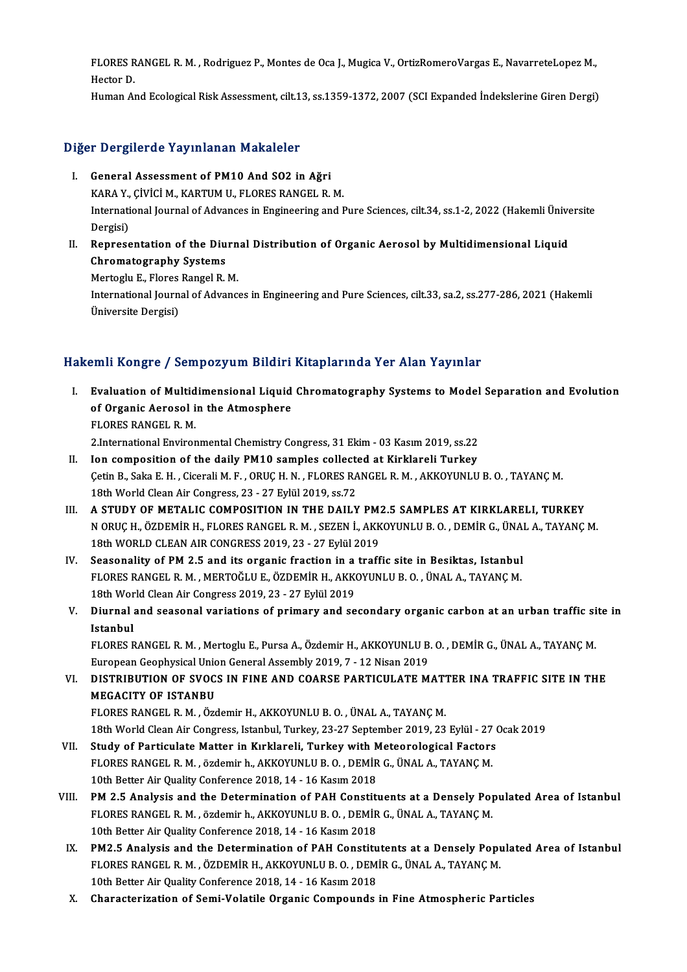FLORES RANGEL R. M. , Rodriguez P., Montes de Oca J., Mugica V., OrtizRomeroVargas E., NavarreteLopez M.,<br>Hester D. FLORES R<br>Hector D.<br>Human Al FLORES RANGEL R. M. , Rodriguez P., Montes de Oca J., Mugica V., OrtizRomeroVargas E., NavarreteLopez M.,<br>Hector D.<br>Human And Ecological Risk Assessment, cilt.13, ss.1359-1372, 2007 (SCI Expanded İndekslerine Giren Dergi)

# numan And Ecological Kisk Assessment, clit.1<br>Diğer Dergilerde Yayınlanan Makaleler

- Iger Dergilerde Yayınlanan Makaleler<br>I. General Assessment of PM10 And SO2 in Ağri<br>KARA Y. CİVİCİ M. KARTIM IL ELORES RANCEL R TERRIT AND THE TAY INTERNATIONAL PROPERTY.<br>
Seneral Assessment of PM10 And SO2 in Ağri<br>
KARA Y., ÇİVİCİ M., KARTUM U., FLORES RANGEL R. M.<br>International Journal of Advances in Engineering and I I. General Assessment of PM10 And SO2 in Ağri<br>KARA Y., ÇiViCi M., KARTUM U., FLORES RANGEL R. M.<br>International Journal of Advances in Engineering and Pure Sciences, cilt.34, ss.1-2, 2022 (Hakemli Üniversite<br>Dergisi) KARA Y.,<br>Internati<br>Dergisi)<br>Penrose International Journal of Advances in Engineering and Pure Sciences, cilt.34, ss.1-2, 2022 (Hakemli Ünive<br>Dergisi)<br>II. Representation of the Diurnal Distribution of Organic Aerosol by Multidimensional Liquid<br>Chromatography
- Dergisi)<br>Representation of the Diu<br>Chromatography Systems<br>Metteglu E. Flares Bangel B. Representation of the Diurn<br>Chromatography Systems<br>Mertoglu E., Flores Rangel R. M.<br>International Journal of Advance Mertoglu E., Flores Rangel R. M.

Chromatography Systems<br>Mertoglu E., Flores Rangel R. M.<br>International Journal of Advances in Engineering and Pure Sciences, cilt.33, sa.2, ss.277-286, 2021 (Hakemli<br>Üniversite Dergisi)

# HakemliKongre / SempozyumBildiriKitaplarında Yer Alan Yayınlar

- I. Evaluation of Multidimensional Liquid Chromatography Systems to Model Separation and Evolution Sinte Rongro / Somponyum Brians<br>Evaluation of Multidimensional Liquid<br>of Organic Aerosol in the Atmosphere Evaluation of Multid<br>of Organic Aerosol i<br>FLORES RANGEL R.M.<br>2 International Enviror 2.InternationalEnvironmentalChemistryCongress,31Ekim-03Kasım2019, ss.22
- II. Ion composition of the daily PM10 samples collected at Kirklareli Turkey ÇetinB.,SakaE.H. ,CiceraliM.F. ,ORUÇH.N. ,FLORESRANGELR.M. ,AKKOYUNLUB.O. ,TAYANÇM. 18th World Clean Air Congress, 23 - 27 Eylül 2019, ss.72 Cetin B., Saka E. H., Cicerali M. F., ORUC H. N., FLORES RANGEL R. M., AKKOYUNLU B. O., TAYANC M.<br>18th World Clean Air Congress, 23 - 27 Eylül 2019, ss.72<br>III. A STUDY OF METALIC COMPOSITION IN THE DAILY PM2.5 SAMPLES
- N ORUÇ H., ÖZDEMİR H., FLORES RANGEL R. M. , SEZEN İ., AKKOYUNLU B. O. , DEMİR G., ÜNAL A., TAYANÇ M.<br>18th WORLD CLEAN AIR CONGRESS 2019, 23 27 Eylül 2019 A STUDY OF METALIC COMPOSITION IN THE DAILY PM:<br>N ORUÇ H., ÖZDEMİR H., FLORES RANGEL R. M. , SEZEN İ., AKK<br>18th WORLD CLEAN AIR CONGRESS 2019, 23 - 27 Eylül 2019<br>Seasonality of PM 2.5 and its arsanis frastian in a traff N ORUÇ H., ÖZDEMİR H., FLORES RANGEL R. M., SEZEN İ., AKKOYUNLU B. O., DEMİR G., ÜNAI<br>18th WORLD CLEAN AIR CONGRESS 2019, 23 - 27 Eylül 2019<br>IV. Seasonality of PM 2.5 and its organic fraction in a traffic site in Besiktas,
- 18th WORLD CLEAN AIR CONGRESS 2019, 23 27 Eylül 2019<br>Seasonality of PM 2.5 and its organic fraction in a traffic site in Besiktas, Istanbul<br>FLORES RANGEL R. M. , MERTOĞLU E., ÖZDEMİR H., AKKOYUNLU B. O. , ÜNAL A., TAYANÇ Seasonality of PM 2.5 and its organic fraction in a<br>FLORES RANGEL R. M. , MERTOĞLU E., ÖZDEMİR H., AKK<br>18th World Clean Air Congress 2019, 23 - 27 Eylül 2019<br>Diunnal and seasonal variations of nrimary and se FLORES RANGEL R. M. , MERTOĞLU E., ÖZDEMİR H., AKKOYUNLU B. O. , ÜNAL A., TAYANÇ M.<br>18th World Clean Air Congress 2019, 23 - 27 Eylül 2019<br>V. Diurnal and seasonal variations of primary and secondary organic carbon at a
- 18th Wor<br>Diurnal<br>Istanbul<br>ELOPES E Diurnal and seasonal variations of primary and secondary organic carbon at an urban traffic si<br>Istanbul<br>FLORES RANGEL R. M. , Mertoglu E., Pursa A., Özdemir H., AKKOYUNLU B. O. , DEMİR G., ÜNAL A., TAYANÇ M.<br>European Cooph

I<mark>stanbul</mark><br>FLORES RANGEL R. M. , Mertoglu E., Pursa A., Özdemir H., AKKOYUNLU B<br>European Geophysical Union General Assembly 2019, 7 - 12 Nisan 2019<br>DISTRIRULUN OF SVOCS IN FINE AND COARSE RARTICUL ATE M FLORES RANGEL R. M. , Mertoglu E., Pursa A., Özdemir H., AKKOYUNLU B. O. , DEMİR G., ÜNAL A., TAYANÇ M.<br>European Geophysical Union General Assembly 2019, 7 - 12 Nisan 2019<br>VI. DISTRIBUTION OF SVOCS IN FINE AND COARSE PARTI

European Geophysical Union<br>DISTRIBUTION OF SVOC:<br>MEGACITY OF ISTANBU<br>ELOPES PANCEL P. M. ÖTG DISTRIBUTION OF SVOCS IN FINE AND COARSE PARTICULATE MATT<br>MEGACITY OF ISTANBU<br>FLORES RANGEL R. M. , Özdemir H., AKKOYUNLU B. O. , ÜNAL A., TAYANÇ M.<br>19th World Clean Air Congress, Istanbul Turkey, 22, 27 Sentember 2019, 22 MEGACITY OF ISTANBU<br>18th World Clean Air, Özdemir H., AKKOYUNLU B. O. , ÜNAL A., TAYANÇ M.<br>18th World Clean Air Congress, Istanbul, Turkey, 23-27 September 2019, 23 Eylül - 27 Ocak 2019

- VII. Study of Particulate Matter in Kırklareli, Turkey with Meteorological Factors 18th World Clean Air Congress, Istanbul, Turkey, 23-27 September 2019, 23 Eylül - 27<br>Study of Particulate Matter in Kırklareli, Turkey with Meteorological Factors<br>FLORES RANGEL R. M. , özdemir h., AKKOYUNLU B. O. , DEMİR G Study of Particulate Matter in Kırklareli, Turkey with M<br>FLORES RANGEL R. M., özdemir h., AKKOYUNLU B. O., DEMİR<br>10th Better Air Quality Conference 2018, 14 - 16 Kasım 2018<br>PM 2 5 Analysis and the Determination of PAH Cons
- 10th Better Air Quality Conference 2018, 14 16 Kasim 2018<br>VIII. PM 2.5 Analysis and the Determination of PAH Constituents at a Densely Populated Area of Istanbul 10th Better Air Quality Conference 2018, 14 - 16 Kasım 2018<br>**PM 2.5 Analysis and the Determination of PAH Constituents at a Densely Po**<br>FLORES RANGEL R. M. , özdemir h., AKKOYUNLU B. O. , DEMİR G., ÜNAL A., TAYANÇ M.<br>10th PM 2.5 Analysis and the Determination of PAH Constitution.<br>FLORES RANGEL R. M., özdemir h., AKKOYUNLU B. O., DEMIR<br>10th Better Air Quality Conference 2018, 14 - 16 Kasım 2018 FLORES RANGEL R. M., özdemir h., AKKOYUNLU B. O., DEMİR G., ÜNAL A., TAYANÇ M.<br>10th Better Air Quality Conference 2018, 14 - 16 Kasım 2018<br>IX. PM2.5 Analysis and the Determination of PAH Constitutents at a Densely Populate
	- 10th Better Air Quality Conference 2018, 14 16 Kasım 2018<br>PM2.5 Analysis and the Determination of PAH Constitutents at a Densely Popu<br>FLORES RANGEL R. M. , ÖZDEMİR H., AKKOYUNLU B. O. , DEMİR G., ÜNAL A., TAYANÇ M.<br>10th PM2.5 Analysis and the Determination of PAH Constitution.<br>FLORES RANGEL R. M., ÖZDEMİR H., AKKOYUNLU B. O., DEM<br>10th Better Air Quality Conference 2018, 14 - 16 Kasım 2018 FLORES RANGEL R. M. , ÖZDEMİR H., AKKOYUNLU B. O. , DEMİR G., ÜNAL A., TAYANÇ M.<br>10th Better Air Quality Conference 2018, 14 - 16 Kasım 2018<br>X. Characterization of Semi-Volatile Organic Compounds in Fine Atmospheric Partic
	-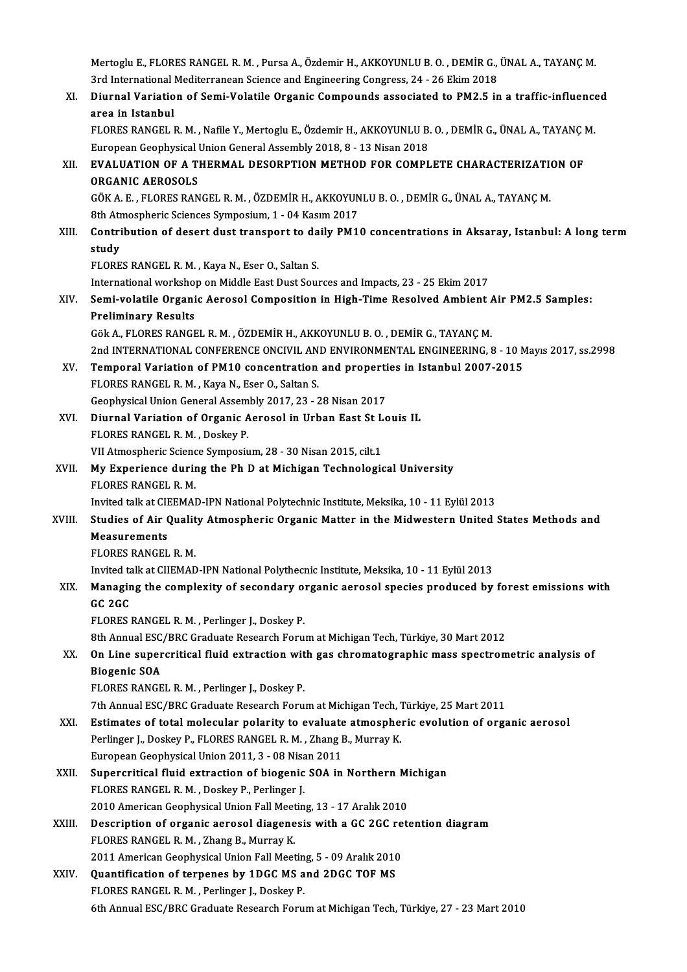Mertoglu E., FLORES RANGEL R. M. , Pursa A., Özdemir H., AKKOYUNLU B. O. , DEMİR G., ÜNAL A., TAYANÇ M.<br>2rd International Mediterranean Science and Engineering Congress 24, 26 Ekim 2019. Mertoglu E., FLORES RANGEL R. M. , Pursa A., Özdemir H., AKKOYUNLU B. O. , DEMİR G.,<br>3rd International Mediterranean Science and Engineering Congress, 24 - 26 Ekim 2018<br>Diurnal Variation of Sami Valatile Organia Compounde Mertoglu E., FLORES RANGEL R. M. , Pursa A., Özdemir H., AKKOYUNLU B. O. , DEMİR G., ÜNAL A., TAYANÇ M.<br>3rd International Mediterranean Science and Engineering Congress, 24 - 26 Ekim 2018<br>XI. Diurnal Variation of Semi-Vola 3rd International Mediterranean Science and Engineering Congress, 24 - 26 Ekim 2018<br>XI. Diurnal Variation of Semi-Volatile Organic Compounds associated to PM2.5 in a traffic-influenced<br>area in Istanbul Diurnal Variation of Semi-Volatile Organic Compounds associated to PM2.5 in a traffic-influence<br>area in Istanbul<br>FLORES RANGEL R. M. , Nafile Y., Mertoglu E., Özdemir H., AKKOYUNLU B. O. , DEMİR G., ÜNAL A., TAYANÇ M.<br>Euro area in Istanbul<br>FLORES RANGEL R. M. , Nafile Y., Mertoglu E., Özdemir H., AKKOYUNLU B.<br>European Geophysical Union General Assembly 2018, 8 - 13 Nisan 2018<br>EVALUATION OF A THERMAL DESORRTION METHOD FOR COMPL FLORES RANGEL R. M. , Nafile Y., Mertoglu E., Özdemir H., AKKOYUNLU B. O. , DEMİR G., ÜNAL A., TAYANÇ |<br>European Geophysical Union General Assembly 2018, 8 - 13 Nisan 2018<br>XII. EVALUATION OF A THERMAL DESORPTION METHOD European Geophysical<br>EVALUATION OF A TI<br>ORGANIC AEROSOLS<br>CÖKAE ELOPES BAN EVALUATION OF A THERMAL DESORPTION METHOD FOR COMPLETE CHARACTERIZATION<br>ORGANIC AEROSOLS<br>GÖK A. E. , FLORES RANGEL R. M. , ÖZDEMİR H., AKKOYUNLU B. O. , DEMİR G., ÜNAL A., TAYANÇ M.<br><sup>9th</sup> Atmograpic Sciences Symnosium 1 \_ ORGANIC AEROSOLS<br>GÖK A. E. , FLORES RANGEL R. M. , ÖZDEMİR H., AKKOYUNLU B. O. , DEMİR G., ÜNAL A., TAYANÇ M.<br>8th Atmospheric Sciences Symposium, 1 - 04 Kasım 2017 GÖK A. E. , FLORES RANGEL R. M. , ÖZDEMİR H., AKKOYUNLU B. O. , DEMİR G., ÜNAL A., TAYANÇ M.<br>8th Atmospheric Sciences Symposium, 1 - 04 Kasım 2017<br>XIII. Contribution of desert dust transport to daily PM10 concentration **8th Atr<br>Contri<br>study<br>ELOPE** Contribution of desert dust transport to da<br>study<br>FLORES RANGEL R. M. , Kaya N., Eser O., Saltan S.<br>International worksbon on Middle Fest Dust Sour study<br>FLORES RANGEL R. M. , Kaya N., Eser O., Saltan S.<br>International workshop on Middle East Dust Sources and Impacts, 23 - 25 Ekim 2017<br>Semi volatile Organia Aeresel Composition in High Time Beselved Ambient. FLORES RANGEL R. M. , Kaya N., Eser O., Saltan S.<br>International workshop on Middle East Dust Sources and Impacts, 23 - 25 Ekim 2017<br>XIV. Semi-volatile Organic Aerosol Composition in High-Time Resolved Ambient Air PM2.5 Sam International worksho<br>Semi-volatile Organi<br>Preliminary Results<br>Cëk A. ELOPES RANCE Semi-volatile Organic Aerosol Composition in High-Time Resolved Ambient /<br>Preliminary Results<br>Gök A., FLORES RANGEL R. M. , ÖZDEMİR H., AKKOYUNLU B. O. , DEMİR G., TAYANÇ M.<br>2nd INTERNATIONAL CONEERENCE ONCIVIL AND ENVIRON Preliminary Results<br>Gök A., FLORES RANGEL R. M. , ÖZDEMİR H., AKKOYUNLU B. O. , DEMİR G., TAYANÇ M.<br>2nd INTERNATIONAL CONFERENCE ONCIVIL AND ENVIRONMENTAL ENGINEERING, 8 - 10 Mayıs 2017, ss.2998 Gök A., FLORES RANGEL R. M. , ÖZDEMIR H., AKKOYUNLU B. O. , DEMIR G., TAYANÇ M.<br>2nd INTERNATIONAL CONFERENCE ONCIVIL AND ENVIRONMENTAL ENGINEERING, 8 - 10 M<br>XV. Temporal Variation of PM10 concentration and properties in Is 2nd INTERNATIONAL CONFERENCE ONCIVIL AN<br>Temporal Variation of PM10 concentration<br>FLORES RANGEL R. M., Kaya N., Eser O., Saltan S. Temporal Variation of PM10 concentration and properti<br>FLORES RANGEL R. M. , Kaya N., Eser O., Saltan S.<br>Geophysical Union General Assembly 2017, 23 - 28 Nisan 2017<br>Diurnal Variation of Organic Aerosel in Urban Fast St La FLORES RANGEL R. M. , Kaya N., Eser O., Saltan S.<br>Geophysical Union General Assembly 2017, 23 - 28 Nisan 2017<br>XVI. Diurnal Variation of Organic Aerosol in Urban East St Louis IL<br>ELOPES RANGEL B. M. Dockay B. Geophysical Union General Assembly 2017, 23 - 28 Nisan 2017<br>Diurnal Variation of Organic Aerosol in Urban East St Let FLORES RANGEL R. M., Doskey P. Diurnal Variation of Organic Aerosol in Urban East St L<br>FLORES RANGEL R. M. , Doskey P.<br>VII Atmospheric Science Symposium, 28 - 30 Nisan 2015, cilt.1<br>My Exposiance during the Ph D et Michigan Technologic XVII. My Experience during the Ph D at Michigan Technological University<br>FLORES RANGEL R. M. VII Atmospheric Science Symposium, 28 - 30 Nisan 2015, cilt 1 My Experience during the Ph D at Michigan Technological University<br>FLORES RANGEL R. M.<br>Invited talk at CIEEMAD-IPN National Polytechnic Institute, Meksika, 10 - 11 Eylül 2013<br>Studies of Air Quality Atmospheris Organis Matt FLORES RANGEL R. M.<br>Invited talk at CIEEMAD-IPN National Polytechnic Institute, Meksika, 10 - 11 Eylül 2013<br>XVIII. Studies of Air Quality Atmospheric Organic Matter in the Midwestern United States Methods and<br>Measurements **Invited talk at CII<br>Studies of Air (<br>Measurements<br>ELOPES PANCEL Studies of Air Qualit<br>Measurements<br>FLORES RANGEL R. M.**<br>Invited talk at CUEMAE Measurements<br>FLORES RANGEL R. M.<br>Invited talk at CIIEMAD-IPN National Polythecnic Institute, Meksika, 10 - 11 Eylül 2013 FLORES RANGEL R. M.<br>Invited talk at CIIEMAD-IPN National Polythecnic Institute, Meksika, 10 - 11 Eylül 2013<br>XIX. Managing the complexity of secondary organic aerosol species produced by forest emissions with Invited ta<br>Managir<br>GC 2GC<br>ELOPES I Managing the complexity of secondary of<br>GC 2GC<br>FLORES RANGEL R. M. , Perlinger J., Doskey P.<br>8th Annual ESC (PRC Craduate Besearsh Ferm GC 2GC<br>FLORES RANGEL R. M. , Perlinger J., Doskey P.<br>8th Annual ESC/BRC Graduate Research Forum at Michigan Tech, Türkiye, 30 Mart 2012<br>On Line aunorgritigel fluid extrection with 500 shromategraphic mess anestrom FLORES RANGEL R. M. , Perlinger J., Doskey P.<br>8th Annual ESC/BRC Graduate Research Forum at Michigan Tech, Türkiye, 30 Mart 2012<br>XX. On Line supercritical fluid extraction with gas chromatographic mass spectrometric analys **8th Annual ESC<br>On Line super<br>Biogenic SOA<br>ELOPES PANCE** FLORES RANGEL R. M., Perlinger J., Doskey P. 7th Annual ESC/BRC Graduate Research Forum at Michigan Tech, Türkiye, 25 Mart 2011 XXI. Estimates of total molecular polarity to evaluate atmospheric evolution of organic aerosol 7th Annual ESC/BRC Graduate Research Forum at Michigan Tech, 7<br>Estimates of total molecular polarity to evaluate atmosphe<br>Perlinger J., Doskey P., FLORES RANGEL R. M. , Zhang B., Murray K.<br>European Coophysical Union 2011 2 Estimates of total molecular polarity to evaluate<br>Perlinger J., Doskey P., FLORES RANGEL R. M. , Zhang I<br>European Geophysical Union 2011, 3 - 08 Nisan 2011<br>Supergritical fluid extraction of biogenis SOA in Perlinger J., Doskey P., FLORES RANGEL R. M., Zhang B., Murray K.<br>European Geophysical Union 2011, 3 - 08 Nisan 2011<br>XXII. Supercritical fluid extraction of biogenic SOA in Northern Michigan European Geophysical Union 2011, 3 - 08 Nisa<br>Supercritical fluid extraction of biogenic<br>FLORES RANGEL R. M. , Doskey P., Perlinger J.<br>2010 American Geophysical Union Foll Meetin Supercritical fluid extraction of biogenic SOA in Northern Mi<br>FLORES RANGEL R. M. , Doskey P., Perlinger J.<br>2010 American Geophysical Union Fall Meeting, 13 - 17 Aralık 2010<br>Description of organis serosol diagonesis with e FLORES RANGEL R. M., Doskey P., Perlinger J.<br>2010 American Geophysical Union Fall Meeting, 13 - 17 Aralık 2010<br>XXIII. Description of organic aerosol diagenesis with a GC 2GC retention diagram 2010 American Geophysical Union Fall Meeting, 13 - 17 Aralık 2010<br>Description of organic aerosol diagenesis with a GC 2GC ret<br>FLORES RANGEL R. M., Zhang B., Murray K. Description of organic aerosol diagenesis with a GC 2GC re<br>FLORES RANGEL R. M. , Zhang B., Murray K.<br>2011 American Geophysical Union Fall Meeting, 5 - 09 Aralık 2010<br>Quantification of ternanes by 1DGC MS and 2DGC TOF MS XXIV. Quantification of terpenes by 1DGC MS and 2DGC TOF MS<br>FLORES RANGEL R. M., Perlinger J., Doskey P. 2011 American Geophysical Union Fall Meeting, 5 - 09 Aralık 2010 6th Annual ESC/BRC Graduate Research Forum at Michigan Tech, Türkiye, 27 - 23 Mart 2010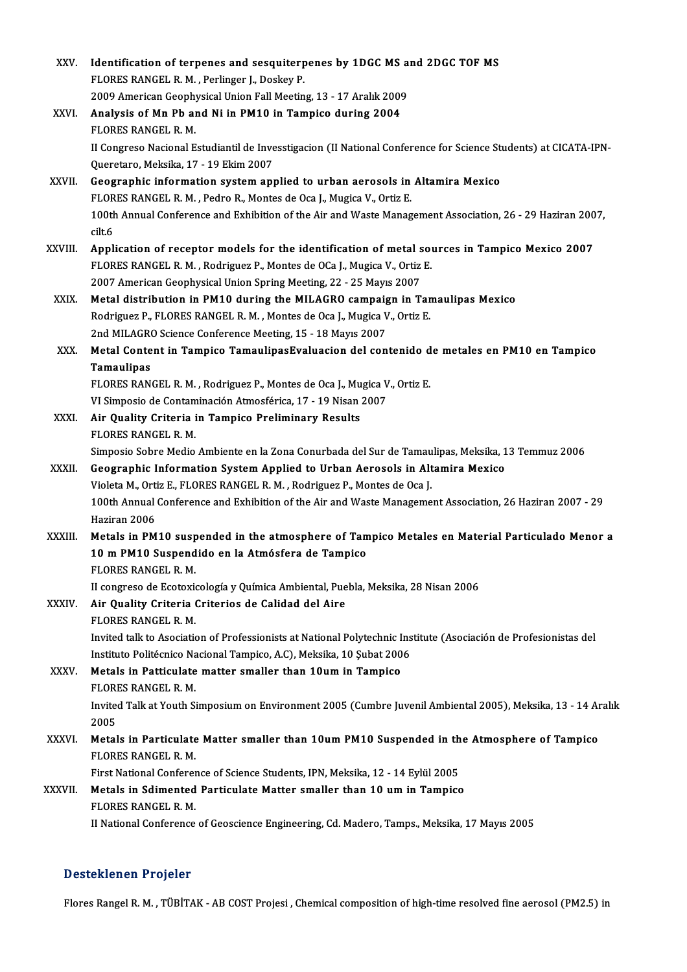| XXV.         | Identification of terpenes and sesquiterpenes by 1DGC MS and 2DGC TOF MS                                                                |
|--------------|-----------------------------------------------------------------------------------------------------------------------------------------|
|              | FLORES RANGEL R. M., Perlinger J., Doskey P.                                                                                            |
|              | 2009 American Geophysical Union Fall Meeting, 13 - 17 Aralık 2009                                                                       |
| XXVI.        | Analysis of Mn Pb and Ni in PM10 in Tampico during 2004                                                                                 |
|              | FLORES RANGEL R. M.                                                                                                                     |
|              | II Congreso Nacional Estudiantil de Invesstigacion (II National Conference for Science Students) at CICATA-IPN-                         |
|              | Queretaro, Meksika, 17 - 19 Ekim 2007                                                                                                   |
| XXVII.       | Geographic information system applied to urban aerosols in Altamira Mexico                                                              |
|              | FLORES RANGEL R. M., Pedro R., Montes de Oca J., Mugica V., Ortiz E.                                                                    |
|              | 100th Annual Conference and Exhibition of the Air and Waste Management Association, 26 - 29 Haziran 2007,                               |
|              | cilt <sub>6</sub>                                                                                                                       |
| XXVIII.      | Application of receptor models for the identification of metal sources in Tampico Mexico 2007                                           |
|              | FLORES RANGEL R. M., Rodriguez P., Montes de OCa J., Mugica V., Ortiz E.                                                                |
|              | 2007 American Geophysical Union Spring Meeting, 22 - 25 Mayıs 2007                                                                      |
| XXIX.        | Metal distribution in PM10 during the MILAGRO campaign in Tamaulipas Mexico                                                             |
|              | Rodriguez P., FLORES RANGEL R. M., Montes de Oca J., Mugica V., Ortiz E.                                                                |
|              | 2nd MILAGRO Science Conference Meeting, 15 - 18 Mayıs 2007                                                                              |
| XXX.         | Metal Content in Tampico TamaulipasEvaluacion del contenido de metales en PM10 en Tampico                                               |
|              | Tamaulipas                                                                                                                              |
|              | FLORES RANGEL R. M., Rodriguez P., Montes de Oca J., Mugica V., Ortiz E.                                                                |
|              | VI Simposio de Contaminación Atmosférica, 17 - 19 Nisan 2007                                                                            |
| XXXI.        | Air Quality Criteria in Tampico Preliminary Results                                                                                     |
|              | FLORES RANGEL R. M.                                                                                                                     |
|              | Simposio Sobre Medio Ambiente en la Zona Conurbada del Sur de Tamaulipas, Meksika, 13 Temmuz 2006                                       |
| XXXII.       | Geographic Information System Applied to Urban Aerosols in Altamira Mexico                                                              |
|              | Violeta M., Ortiz E., FLORES RANGEL R. M., Rodriguez P., Montes de Oca J.                                                               |
|              | 100th Annual Conference and Exhibition of the Air and Waste Management Association, 26 Haziran 2007 - 29                                |
|              | Haziran 2006                                                                                                                            |
| XXXIII.      | Metals in PM10 suspended in the atmosphere of Tampico Metales en Material Particulado Menor a                                           |
|              | 10 m PM10 Suspendido en la Atmósfera de Tampico                                                                                         |
|              | FLORES RANGEL R. M.                                                                                                                     |
| XXXIV.       | II congreso de Ecotoxicología y Química Ambiental, Puebla, Meksika, 28 Nisan 2006                                                       |
|              | Air Quality Criteria Criterios de Calidad del Aire                                                                                      |
|              | FLORES RANGEL R. M.<br>Invited talk to Asociation of Professionists at National Polytechnic Institute (Asociación de Profesionistas del |
|              | Instituto Politécnico Nacional Tampico, A.C), Meksika, 10 Şubat 2006                                                                    |
| XXXV.        | Metals in Patticulate matter smaller than 10um in Tampico                                                                               |
|              | FLORES RANGEL R M.                                                                                                                      |
|              | Invited Talk at Youth Simposium on Environment 2005 (Cumbre Juvenil Ambiental 2005), Meksika, 13 - 14 Aralık                            |
|              | 2005                                                                                                                                    |
| <b>XXXVI</b> | Metals in Particulate Matter smaller than 10um PM10 Suspended in the Atmosphere of Tampico                                              |
|              | FLORES RANGEL R. M.                                                                                                                     |
|              | First National Conference of Science Students, IPN, Meksika, 12 - 14 Eylül 2005                                                         |
| XXXVII.      | Metals in Sdimented Particulate Matter smaller than 10 um in Tampico                                                                    |
|              | FLORES RANGEL R M.                                                                                                                      |
|              | II National Conference of Geoscience Engineering, Cd. Madero, Tamps., Meksika, 17 Mayıs 2005                                            |
|              |                                                                                                                                         |

# Desteklenen Projeler

Flores Rangel R.M. , TÜBİTAK - AB COST Projesi , Chemical composition of high-time resolved fine aerosol (PM2.5) in